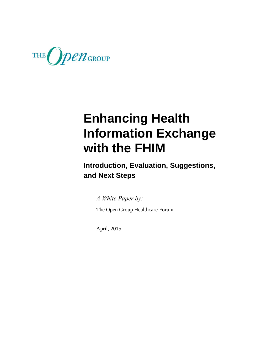

**Introduction, Evaluation, Suggestions, and Next Steps**

*A White Paper by:*

The Open Group Healthcare Forum

April, 2015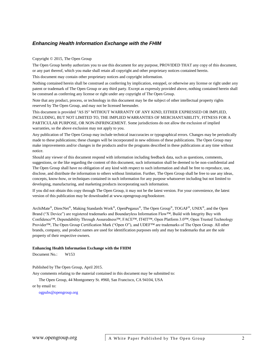#### Copyright © 2015, The Open Group

The Open Group hereby authorizes you to use this document for any purpose, PROVIDED THAT any copy of this document, or any part thereof, which you make shall retain all copyright and other proprietary notices contained herein.

This document may contain other proprietary notices and copyright information.

Nothing contained herein shall be construed as conferring by implication, estoppel, or otherwise any license or right under any patent or trademark of The Open Group or any third party. Except as expressly provided above, nothing contained herein shall be construed as conferring any license or right under any copyright of The Open Group.

Note that any product, process, or technology in this document may be the subject of other intellectual property rights reserved by The Open Group, and may not be licensed hereunder.

This document is provided "AS IS" WITHOUT WARRANTY OF ANY KIND, EITHER EXPRESSED OR IMPLIED, INCLUDING, BUT NOT LIMITED TO, THE IMPLIED WARRANTIES OF MERCHANTABILITY, FITNESS FOR A PARTICULAR PURPOSE, OR NON-INFRINGEMENT. Some jurisdictions do not allow the exclusion of implied warranties, so the above exclusion may not apply to you.

Any publication of The Open Group may include technical inaccuracies or typographical errors. Changes may be periodically made to these publications; these changes will be incorporated in new editions of these publications. The Open Group may make improvements and/or changes in the products and/or the programs described in these publications at any time without notice.

Should any viewer of this document respond with information including feedback data, such as questions, comments, suggestions, or the like regarding the content of this document, such information shall be deemed to be non-confidential and The Open Group shall have no obligation of any kind with respect to such information and shall be free to reproduce, use, disclose, and distribute the information to others without limitation. Further, The Open Group shall be free to use any ideas, concepts, know-how, or techniques contained in such information for any purpose whatsoever including but not limited to developing, manufacturing, and marketing products incorporating such information.

If you did not obtain this copy through The Open Group, it may not be the latest version. For your convenience, the latest version of this publication may be downloaded at [www.opengroup.org/bookstore.](http://www.opengroup.org/bookstore)

ArchiMate®, DirecNet®, Making Standards Work®, OpenPegasus®, The Open Group®, TOGAF®, UNIX®, and the Open Brand ("X Device") are registered trademarks and Boundaryless Information Flow™, Build with Integrity Buy with Confidence™, Dependability Through Assuredness™, FACE™, IT4IT™, Open Platform 3.0™, Open Trusted Technology Provider™, The Open Group Certification Mark ("Open O"), and UDEF™ are trademarks of The Open Group. All other brands, company, and product names are used for identification purposes only and may be trademarks that are the sole property of their respective owners.

#### **Enhancing Health Information Exchange with the FHIM**

Document No.: W153

Published by The Open Group, April 2015.

Any comments relating to the material contained in this document may be submitted to:

The Open Group, 44 Montgomery St. #960, San Francisco, CA 94104, USA

or by email to:

[ogpubs@opengroup.org](mailto:ogpubs@opengroup.org)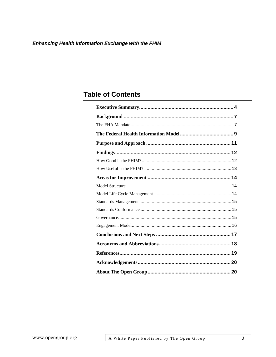# **Table of Contents**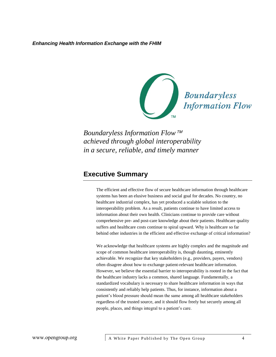

*Boundaryless Information Flow achieved through global interoperability in a secure, reliable, and timely manner*

# <span id="page-3-0"></span>**Executive Summary**

The efficient and effective flow of secure healthcare information through healthcare systems has been an elusive business and social goal for decades. No country, no healthcare industrial complex, has yet produced a scalable solution to the interoperability problem. As a result, patients continue to have limited access to information about their own health. Clinicians continue to provide care without comprehensive pre- and post-care knowledge about their patients. Healthcare quality suffers and healthcare costs continue to spiral upward. Why is healthcare so far behind other industries in the efficient and effective exchange of critical information?

We acknowledge that healthcare systems are highly complex and the magnitude and scope of common healthcare interoperability is, though daunting, eminently achievable. We recognize that key stakeholders (e.g., providers, payers, vendors) often disagree about how to exchange patient-relevant healthcare information. However, we believe the essential barrier to interoperability is rooted in the fact that the healthcare industry lacks a common, shared language. Fundamentally, a standardized vocabulary is necessary to share healthcare information in ways that consistently and reliably help patients. Thus, for instance, information about a patient's blood pressure should mean the same among all healthcare stakeholders regardless of the trusted source, and it should flow freely but securely among all people, places, and things integral to a patient's care.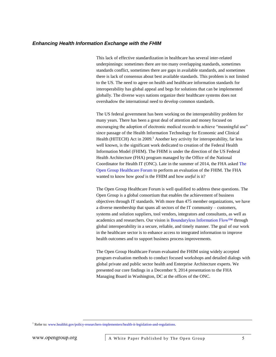This lack of effective standardization in healthcare has several inter-related underpinnings: sometimes there are too many overlapping standards, sometimes standards conflict, sometimes there are gaps in available standards, and sometimes there is lack of consensus about best available standards. This problem is not limited to the US. The need to agree on health and healthcare information standards for interoperability has global appeal and begs for solutions that can be implemented globally. The diverse ways nations organize their healthcare systems does not overshadow the international need to develop common standards.

The US federal government has been working on the interoperability problem for many years. There has been a great deal of attention and money focused on encouraging the adoption of electronic medical records to achieve "meaningful use" since passage of the Health Information Technology for Economic and Clinical Health (HITECH) Act in  $2009<sup>1</sup>$  Another key activity for interoperability, far less well known, is the significant work dedicated to creation of the Federal Health Information Model (FHIM). The FHIM is under the direction of the US Federal Health Architecture (FHA) program managed by the Office of the National Coordinator for Health IT (ONC). Late in the summer of 2014, the FHA asked [The](http://www.opengroup.org/getinvolved/industryverticals/healthcare)  [Open Group Healthcare Forum](http://www.opengroup.org/getinvolved/industryverticals/healthcare) to perform an evaluation of the FHIM. The FHA wanted to know how *good* is the FHIM and how *useful* is it?

The Open Group Healthcare Forum is well qualified to address these questions. The Open Group is a global consortium that enables the achievement of business objectives through IT standards. With more than 475 member organizations, we have a diverse membership that spans all sectors of the IT community – customers, systems and solution suppliers, tool vendors, integrators and consultants, as well as academics and researchers. Our vision is [Boundaryless Information Flow™](http://www.opengroup.org/aboutus/vision/bif) through global interoperability in a secure, reliable, and timely manner. The goal of our work in the healthcare sector is to enhance access to integrated information to improve health outcomes and to support business process improvements.

The Open Group Healthcare Forum evaluated the FHIM using widely accepted program evaluation methods to conduct focused workshops and detailed dialogs with global private and public sector health and Enterprise Architecture experts. We presented our core findings in a December 9, 2014 presentation to the FHA Managing Board in Washington, DC at the offices of the ONC.

<sup>&</sup>lt;sup>1</sup> Refer to[: www.healthit.gov/policy-researchers-implementers/health-it-legislation-and-regulations.](http://www.healthit.gov/policy-researchers-implementers/health-it-legislation-and-regulations)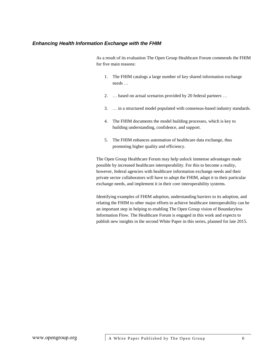As a result of its evaluation The Open Group Healthcare Forum commends the FHIM for five main reasons:

- 1. The FHIM catalogs a large number of key shared information exchange needs …
- 2. … based on actual scenarios provided by 20 federal partners …
- 3. … in a structured model populated with consensus-based industry standards.
- 4. The FHIM documents the model building processes, which is key to building understanding, confidence, and support.
- 5. The FHIM enhances automation of healthcare data exchange, thus promoting higher quality and efficiency.

The Open Group Healthcare Forum may help unlock immense advantages made possible by increased healthcare interoperability. For this to become a reality, however, federal agencies with healthcare information exchange needs and their private sector collaborators will have to adopt the FHIM, adapt it to their particular exchange needs, and implement it in their core interoperability systems.

Identifying examples of FHIM adoption, understanding barriers to its adoption, and relating the FHIM to other major efforts to achieve healthcare interoperability can be an important step in helping to enabling The Open Group vision of Boundaryless Information Flow. The Healthcare Forum is engaged in this work and expects to publish new insights in the second White Paper in this series, planned for late 2015.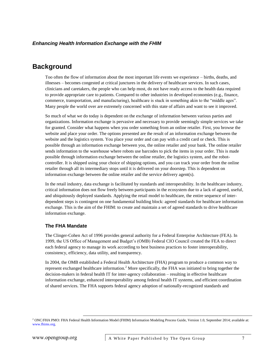# <span id="page-6-0"></span>**Background**

Too often the flow of information about the most important life events we experience – births, deaths, and illnesses – becomes congested at critical junctures in the delivery of healthcare services. In such cases, clinicians and caretakers, the people who can help most, do not have ready access to the health data required to provide appropriate care to patients. Compared to other industries in developed economies (e.g., finance, commerce, transportation, and manufacturing), healthcare is stuck in something akin to the "middle ages". Many people the world over are extremely concerned with this state of affairs and want to see it improved.

So much of what we do today is dependent on the exchange of information between various parties and organizations. Information exchange is pervasive and necessary to provide seemingly simple services we take for granted. Consider what happens when you order something from an online retailer. First, you browse the website and place your order. The options presented are the result of an information exchange between the website and the logistics system. You place your order and can pay with a credit card or check. This is possible through an information exchange between you, the online retailer and your bank. The online retailer sends information to the warehouse where robots use barcodes to pick the items in your order. This is made possible through information exchange between the online retailer, the logistics system, and the robotcontroller. It is shipped using your choice of shipping options, and you can track your order from the online retailer through all its intermediary stops until it is delivered on your doorstep. This is dependent on information exchange between the online retailer and the service delivery agent(s).

In the retail industry, data exchange is facilitated by standards and interoperability. In the healthcare industry, critical information does not flow freely between participants in the ecosystem due to a lack of agreed, useful, and ubiquitously deployed standards. Applying the retail model to healthcare, the entire sequence of interdependent steps is contingent on one fundamental building block: agreed standards for healthcare information exchange. This is the aim of the FHIM: to create and maintain a set of agreed standards to drive healthcare information exchange.

### <span id="page-6-1"></span>**The FHA Mandate**

The Clinger-Cohen Act of 1996 provides general authority for a Federal Enterprise Architecture (FEA). In 1999, the US Office of Management and Budget's (OMB) Federal CIO Council created the FEA to direct each federal agency to manage its work according to best business practices to foster interoperability, consistency, efficiency, data utility, and transparency.

In 2004, the OMB established a Federal Health Architecture (FHA) program to produce a common way to represent exchanged healthcare information.<sup>2</sup> More specifically, the FHA was initiated to bring together the decision-makers in federal health IT for inter-agency collaboration – resulting in effective healthcare information exchange, enhanced interoperability among federal health IT systems, and efficient coordination of shared services. The FHA supports federal agency adoption of nationally-recognized standards and

<sup>&</sup>lt;sup>2</sup> ONC/FHA PMO: FHA Federal Health Information Model (FHIM) Information Modeling Process Guide, Version 1.0, September 2014; available at: [www.fhims.org.](http://www.fhims.org/)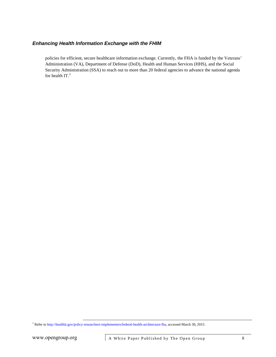policies for efficient, secure healthcare information exchange. Currently, the FHA is funded by the Veterans' Administration (VA), Department of Defense (DoD), Health and Human Services (HHS), and the Social Security Administration (SSA) to reach out to more than 20 federal agencies to advance the national agenda for health IT.<sup>3</sup>

<sup>3</sup> Refer t[o http://healthit.gov/policy-researchers-implementers/federal-health-architecture-fha,](http://healthit.gov/policy-researchers-implementers/federal-health-architecture-fha) accessed March 30, 2015.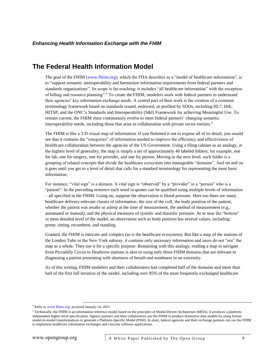# <span id="page-8-0"></span>**The Federal Health Information Model**

The goal of the FHIM [\(www.fhims.org\)](http://www.fhims.org/), which the FHA describes as a "model of healthcare information", is to "support semantic interoperability and harmonize information requirements from federal partners and standards organizations". Its scope is far-reaching; it includes "all healthcare information" with the exception of billing and resource planning".<sup>4</sup> To create the FHIM, modelers work with federal partners to understand their agencies' key information exchange needs. A central part of their work is the creation of a common terminology framework based on standards issued, endorsed, or profiled by SDOs, including HL7, IHE, HITSP, and the ONC's Standards and Interoperability (S&I) Framework for achieving Meaningful Use. To remain current, the FHIM must continuously evolve to meet federal partners' changing semantic interoperability needs, including those that arise in collaboration with private sector entities.<sup>5</sup>

The FHIM is like a 3-D visual map of information. If you flattened it out to expose all of its detail, you would see that it contains the "categories" of information needed to improve the efficiency and effectiveness of healthcare collaboration between the agencies of the US Government. Using a filing cabinet as an analogy, at the highest level of generality, the map is simply a set of approximately 40 labeled folders; for example, one for lab, one for surgery, one for provider, and one for person. Moving to the next level, each folder is a grouping of related concepts that divide the healthcare ecosystem into manageable "domains". And on and on it goes until you get to a level of detail that calls for a standard terminology for representing the most basic information.

For instance, "vital sign" is a domain. A vital sign is "observed" by a "provider" in a "person" who is a "patient". In the preceding sentence each word in quotes can be qualified using multiple levels of information – all specified in the FHIM. Going on, suppose the observation is blood pressure. Here too there are many healthcare delivery-relevant classes of information: the size of the cuff, the body position of the patient, whether the patient was awake or asleep at the time of measurement, the method of measurement (e.g., automated or manual), and the physical measures of systolic and diastolic pressure. At or near the "bottom" or most detailed level of the model, an observation such as body position has several values, including: prone, sitting, recumbent, and standing.

Granted, the FHIM is intricate and complex (as is the healthcare ecosystem). But like a map of the stations of the London Tube or the New York subway, it contains only necessary information and users do not "see" the map as a whole. They use it for a specific purpose. Remaining with this analogy, reading a map to navigate from Piccadilly Circus to Heathrow stations is akin to using only those FHIM domains that are relevant to diagnosing a patient presenting with shortness of breath and numbness in an extremity.

As of this writing, FHIM modelers and their collaborators had completed half of the domains and more than half of the first full iteration of the model, including over 85% of the most frequently exchanged healthcare

<sup>4</sup> Refer to [www.fhims.org](http://www.fhims.org/), accessed January 14, 2015.

 $<sup>5</sup>$  Technically, the FHIM is an information reference model based on the principles of Model-Driven Architecture (MDA). It produces a platform-</sup> independent higher-level specification. Agency partners and their collaborators use the FHIM to produce distinctive data models by using formal model-to-model transformations to generate a Platform-Specific Model (PSM). In short, federal agencies and their exchange partners can use the FHIM to implement healthcare information exchanges and concrete software applications.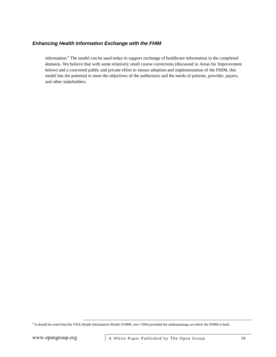information. <sup>6</sup> The model can be used today to support exchange of healthcare information in the completed domains. We believe that with some relatively small course corrections (discussed i[n Areas for Improvement](#page-13-0) below) and a concerted public and private effort to ensure adoption and implementation of the FHIM, this model has the potential to meet the objectives of the authorizers and the needs of patients, provider, payers, and other stakeholders.

<sup>6</sup> It should be noted that the VHA Health Information Model (VHIM, now VIM) provided the underpinnings on which the FHIM is built.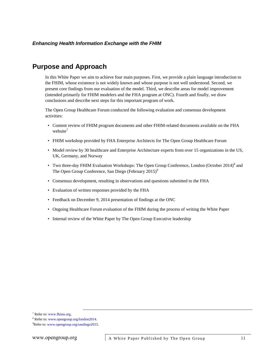# <span id="page-10-0"></span>**Purpose and Approach**

In this White Paper we aim to achieve four main purposes. First, we provide a plain language introduction to the FHIM, whose existence is not widely known and whose purpose is not well understood. Second, we present core findings from our evaluation of the model. Third, we describe areas for model improvement (intended primarily for FHIM modelers and the FHA program at ONC). Fourth and finally, we draw conclusions and describe next steps for this important program of work.

The Open Group Healthcare Forum conducted the following evaluation and consensus development activities:

- Content review of FHIM program documents and other FHIM-related documents available on the FHA website $^7$
- FHIM workshop provided by FHA Enterprise Architects for The Open Group Healthcare Forum
- Model review by 30 healthcare and Enterprise Architecture experts from over 15 organizations in the US, UK, Germany, and Norway
- Two three-day FHIM Evaluation Workshops: The Open Group Conference, London (October 2014)<sup>8</sup> and The Open Group Conference, San Diego (February  $2015$ )<sup>9</sup>
- Consensus development, resulting in observations and questions submitted to the FHA
- Evaluation of written responses provided by the FHA
- Feedback on December 9, 2014 presentation of findings at the ONC
- Ongoing Healthcare Forum evaluation of the FHIM during the process of writing the White Paper
- Internal review of the White Paper by The Open Group Executive leadership

<sup>7</sup> Refer to: [www.fhims.org](http://www.fhims.org/).

<sup>8</sup> Refer to[: www.opengroup.org/london2014.](http://www.opengroup.org/london2014)

<sup>&</sup>lt;sup>9</sup>Refer to[: www.opengroup.org/sandiego2015.](http://www.opengroup.org/sandiego2015)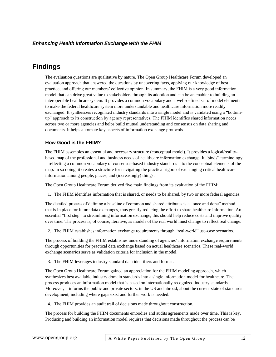# <span id="page-11-0"></span>**Findings**

The evaluation questions are qualitative by nature. The Open Group Healthcare Forum developed an evaluation approach that answered the questions by uncovering facts, applying our knowledge of best practice, and offering our members' collective opinion. In summary, the FHIM is a very good information model that can drive great value to stakeholders through its adoption and can be an enabler to building an interoperable healthcare system. It provides a common vocabulary and a well-defined set of model elements to make the federal healthcare system more understandable and healthcare information more readily exchanged. It synthesizes recognized industry standards into a single model and is validated using a "bottomup" approach to its construction by agency representatives. The FHIM identifies shared information needs across two or more agencies and helps build mutual understanding and consensus on data sharing and documents. It helps automate key aspects of information exchange protocols.

### <span id="page-11-1"></span>**How Good is the FHIM?**

The FHIM assembles an essential and necessary structure (conceptual model). It provides a logical/realitybased map of the professional and business needs of healthcare information exchange. It "binds" terminology – reflecting a common vocabulary of consensus-based industry standards – to the conceptual elements of the map. In so doing, it creates a structure for navigating the practical rigors of exchanging critical healthcare information among people, places, and (increasingly) things.

The Open Group Healthcare Forum derived five main findings from its evaluation of the FHIM:

1. The FHIM identifies information that is shared, or needs to be shared, by two or more federal agencies.

The detailed process of defining a baseline of common and shared attributes is a "once and done" method that is in place for future data exchanges, thus greatly reducing the effort to share healthcare information. An essential "first step" to streamlining information exchange, this should help reduce costs and improve quality over time. The process is, of course, iterative, as models of the real world must change to reflect real change.

2. The FHIM establishes information exchange requirements through "real-world" use-case scenarios.

The process of building the FHIM establishes understanding of agencies' information exchange requirements through opportunities for practical data exchange based on actual healthcare scenarios. These real-world exchange scenarios serve as validation criteria for inclusion in the model.

3. The FHIM leverages industry standard data identifiers and format.

The Open Group Healthcare Forum gained an appreciation for the FHIM modeling approach, which synthesizes best available industry domain standards into a single information model for healthcare. The process produces an information model that is based on internationally recognized industry standards. Moreover, it informs the public and private sectors, in the US and abroad, about the current state of standards development, including where gaps exist and further work is needed.

4. The FHIM provides an audit trail of decisions made throughout construction.

The process for building the FHIM documents embodies and audits agreements made over time. This is key. Producing and building an information model requires that decisions made throughout the process can be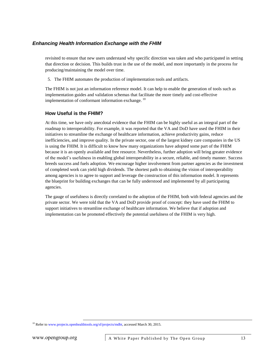revisited to ensure that new users understand why specific direction was taken and who participated in setting that direction or decision. This builds trust in the use of the model, and more importantly in the process for producing/maintaining the model over time.

5. The FHIM automates the production of implementation tools and artifacts.

The FHIM is not just an information reference model. It can help to enable the generation of tools such as implementation guides and validation schemas that facilitate the more timely and cost-effective implementation of conformant information exchange. <sup>10</sup>

### <span id="page-12-0"></span>**How Useful is the FHIM?**

At this time, we have only anecdotal evidence that the FHIM can be highly useful as an integral part of the roadmap to interoperability. For example, it was reported that the VA and DoD have used the FHIM in their initiatives to streamline the exchange of healthcare information, achieve productivity gains, reduce inefficiencies, and improve quality. In the private sector, one of the largest kidney care companies in the US is using the FHIM. It is difficult to know how many organizations have adopted some part of the FHIM because it is an openly available and free resource. Nevertheless, further adoption will bring greater evidence of the model's usefulness in enabling global interoperability in a secure, reliable, and timely manner. Success breeds success and fuels adoption. We encourage higher involvement from partner agencies as the investment of completed work can yield high dividends. The shortest path to obtaining the vision of interoperability among agencies is to agree to support and leverage the construction of this information model. It represents the blueprint for building exchanges that can be fully understood and implemented by all participating agencies.

The gauge of usefulness is directly correlated to the adoption of the FHIM, both with federal agencies and the private sector. We were told that the VA and DoD provide proof of concept: they have used the FHIM to support initiatives to streamline exchange of healthcare information. We believe that if adoption and implementation can be promoted effectively the potential usefulness of the FHIM is very high.

<sup>&</sup>lt;sup>10</sup> Refer t[o www.projects.openhealthtools.org/sf/projects/mdht,](https://www.projects.openhealthtools.org/sf/projects/mdht/) accessed March 30, 2015.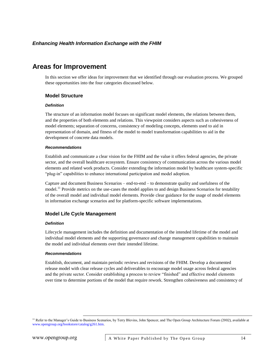# <span id="page-13-0"></span>**Areas for Improvement**

In this section we offer ideas for improvement that we identified through our evaluation process. We grouped these opportunities into the four categories discussed below.

### <span id="page-13-1"></span>**Model Structure**

#### *Definition*

The structure of an information model focuses on significant model elements, the relations between them, and the properties of both elements and relations. This viewpoint considers aspects such as cohesiveness of model elements; separation of concerns, consistency of modeling concepts, elements used to aid in representation of domain, and fitness of the model to model transformation capabilities to aid in the development of concrete data models.

#### *Recommendations*

Establish and communicate a clear vision for the FHIM and the value it offers federal agencies, the private sector, and the overall healthcare ecosystem. Ensure consistency of communication across the various model elements and related work products. Consider extending the information model by healthcare system-specific "plug-in" capabilities to enhance international participation and model adoption.

Capture and document Business Scenarios – end-to-end – to demonstrate quality and usefulness of the model.<sup>11</sup> Provide metrics on the use-cases the model applies to and design Business Scenarios for testability of the overall model and individual model elements. Provide clear guidance for the usage of model elements in information exchange scenarios and for platform-specific software implementations.

# <span id="page-13-2"></span>**Model Life Cycle Management**

#### *Definition*

Lifecycle management includes the definition and documentation of the intended lifetime of the model and individual model elements and the supporting governance and change management capabilities to maintain the model and individual elements over their intended lifetime.

#### *Recommendations*

Establish, document, and maintain periodic reviews and revisions of the FHIM. Develop a documented release model with clear release cycles and deliverables to encourage model usage across federal agencies and the private sector. Consider establishing a process to review "finished" and effective model elements over time to determine portions of the model that require rework. Strengthen cohesiveness and consistency of

<sup>&</sup>lt;sup>11</sup> Refer to the Manager's Guide to Business Scenarios, by Terry Blevins, John Spencer, and The Open Group Architecture Forum (2002), available at [www.opengroup.org/bookstore/catalog/g261.htm.](http://www.opengroup.org/bookstore/catalog/g261.htm)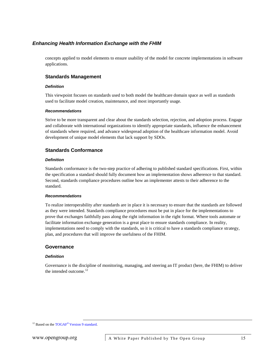concepts applied to model elements to ensure usability of the model for concrete implementations in software applications.

### <span id="page-14-0"></span>**Standards Management**

#### *Definition*

This viewpoint focuses on standards used to both model the healthcare domain space as well as standards used to facilitate model creation, maintenance, and most importantly usage.

#### *Recommendations*

Strive to be more transparent and clear about the standards selection, rejection, and adoption process. Engage and collaborate with international organizations to identify appropriate standards, influence the enhancement of standards where required, and advance widespread adoption of the healthcare information model. Avoid development of unique model elements that lack support by SDOs.

### <span id="page-14-1"></span>**Standards Conformance**

#### *Definition*

Standards conformance is the two-step practice of adhering to published standard specifications. First, within the specification a standard should fully document how an implementation shows adherence to that standard. Second, standards compliance procedures outline how an implementer attests to their adherence to the standard.

#### *Recommendations*

To realize interoperability after standards are in place it is necessary to ensure that the standards are followed as they were intended. Standards compliance procedures must be put in place for the implementations to prove that exchanges faithfully pass along the right information in the right format. Where tools automate or facilitate information exchange generation is a great place to ensure standards compliance. In reality, implementations need to comply with the standards, so it is critical to have a standards compliance strategy, plan, and procedures that will improve the usefulness of the FHIM.

#### <span id="page-14-2"></span>**Governance**

#### *Definition*

Governance is the discipline of monitoring, managing, and steering an IT product (here, the FHIM) to deliver the intended outcome.<sup>12</sup>

<sup>12</sup> Based on the TOGAF<sup>®</sup> [Version 9 standard.](http://www.opengroup.org/subjectareas/enterprise/togaf)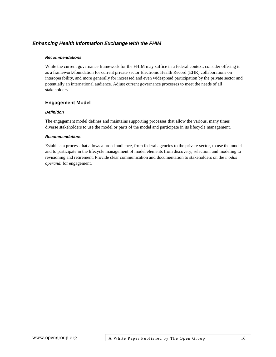#### *Recommendations*

While the current governance framework for the FHIM may suffice in a federal context, consider offering it as a framework/foundation for current private sector Electronic Health Record (EHR) collaborations on interoperability, and more generally for increased and even widespread participation by the private sector and potentially an international audience. Adjust current governance processes to meet the needs of all stakeholders.

### <span id="page-15-0"></span>**Engagement Model**

#### *Definition*

The engagement model defines and maintains supporting processes that allow the various, many times diverse stakeholders to use the model or parts of the model and participate in its lifecycle management.

#### *Recommendations*

Establish a process that allows a broad audience, from federal agencies to the private sector, to use the model and to participate in the lifecycle management of model elements from discovery, selection, and modeling to revisioning and retirement. Provide clear communication and documentation to stakeholders on the *modus operandi* for engagement.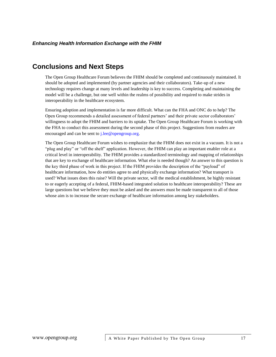# <span id="page-16-0"></span>**Conclusions and Next Steps**

The Open Group Healthcare Forum believes the FHIM should be completed and continuously maintained. It should be adopted and implemented (by partner agencies and their collaborators). Take-up of a new technology requires change at many levels and leadership is key to success. Completing and maintaining the model will be a challenge, but one well within the realms of possibility and required to make strides in interoperability in the healthcare ecosystem.

Ensuring adoption and implementation is far more difficult. What can the FHA and ONC do to help? The Open Group recommends a detailed assessment of federal partners' and their private sector collaborators' willingness to adopt the FHIM and barriers to its uptake. The Open Group Healthcare Forum is working with the FHA to conduct this assessment during the second phase of this project. Suggestions from readers are encouraged and can be sent to [j.lee@opengroup.org.](mailto:j.lee@opengroup.org)

The Open Group Healthcare Forum wishes to emphasize that the FHIM does not exist in a vacuum. It is not a "plug and play" or "off the shelf" application. However, the FHIM can play an important enabler role at a critical level in interoperability. The FHIM provides a standardized terminology and mapping of relationships that are key to exchange of healthcare information. What else is needed though? An answer to this question is the key third phase of work in this project. If the FHIM provides the description of the "payload" of healthcare information, how do entities agree to and physically exchange information? What transport is used? What issues does this raise? Will the private sector, will the medical establishment, be highly resistant to or eagerly accepting of a federal, FHIM-based integrated solution to healthcare interoperability? These are large questions but we believe they must be asked and the answers must be made transparent to all of those whose aim is to increase the secure exchange of healthcare information among key stakeholders.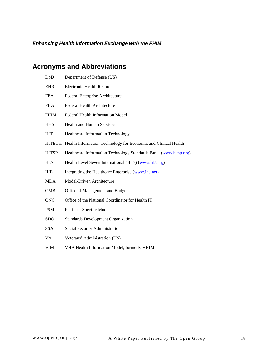# <span id="page-17-0"></span>**Acronyms and Abbreviations**

| DoD           | Department of Defense (US)                                        |
|---------------|-------------------------------------------------------------------|
| <b>EHR</b>    | <b>Electronic Health Record</b>                                   |
| <b>FEA</b>    | Federal Enterprise Architecture                                   |
| <b>FHA</b>    | Federal Health Architecture                                       |
| <b>FHIM</b>   | Federal Health Information Model                                  |
| <b>HHS</b>    | <b>Health and Human Services</b>                                  |
| <b>HIT</b>    | <b>Healthcare Information Technology</b>                          |
| <b>HITECH</b> | Health Information Technology for Economic and Clinical Health    |
| <b>HITSP</b>  | Healthcare Information Technology Standards Panel (www.hitsp.org) |
| HL7           | Health Level Seven International (HL7) (www.hl7.org)              |
| <b>IHE</b>    | Integrating the Healthcare Enterprise (www.ihe.net)               |
| <b>MDA</b>    | Model-Driven Architecture                                         |
| <b>OMB</b>    | Office of Management and Budget                                   |
| <b>ONC</b>    | Office of the National Coordinator for Health IT                  |
| <b>PSM</b>    | Platform-Specific Model                                           |
| <b>SDO</b>    | <b>Standards Development Organization</b>                         |
| <b>SSA</b>    | Social Security Administration                                    |
| VA            | Veterans' Administration (US)                                     |
| VIM           | VHA Health Information Model, formerly VHIM                       |
|               |                                                                   |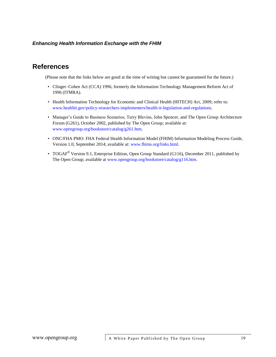# <span id="page-18-0"></span>**References**

(Please note that the links below are good at the time of writing but cannot be guaranteed for the future.)

- Clinger–Cohen Act (CCA) 1996, formerly the Information Technology Management Reform Act of 1996 (ITMRA).
- Health Information Technology for Economic and Clinical Health (HITECH) Act, 2009; refer to: [www.healthit.gov/policy-researchers-implementers/health-it-legislation-and-regulations.](http://www.healthit.gov/policy-researchers-implementers/health-it-legislation-and-regulations)
- Manager's Guide to Business Scenarios, Terry Blevins, John Spencer, and The Open Group Architecture Forum (G261), October 2002, published by The Open Group; available at: [www.opengroup.org/bookstore/catalog/g261.htm.](http://www.opengroup.org/bookstore/catalog/g261.htm)
- ONC/FHA PMO: FHA Federal Health Information Model (FHIM) Information Modeling Process Guide, Version 1.0, September 2014; available at: [www.fhims.org/links.html.](http://www.fhims.org/links.html)
- TOGAF<sup>®</sup> Version 9.1, Enterprise Edition, Open Group Standard (G116), December 2011, published by The Open Group; available at [www.opengroup.org/bookstore/catalog/g116.htm.](http://www.opengroup.org/bookstore/catalog/g116.htm)